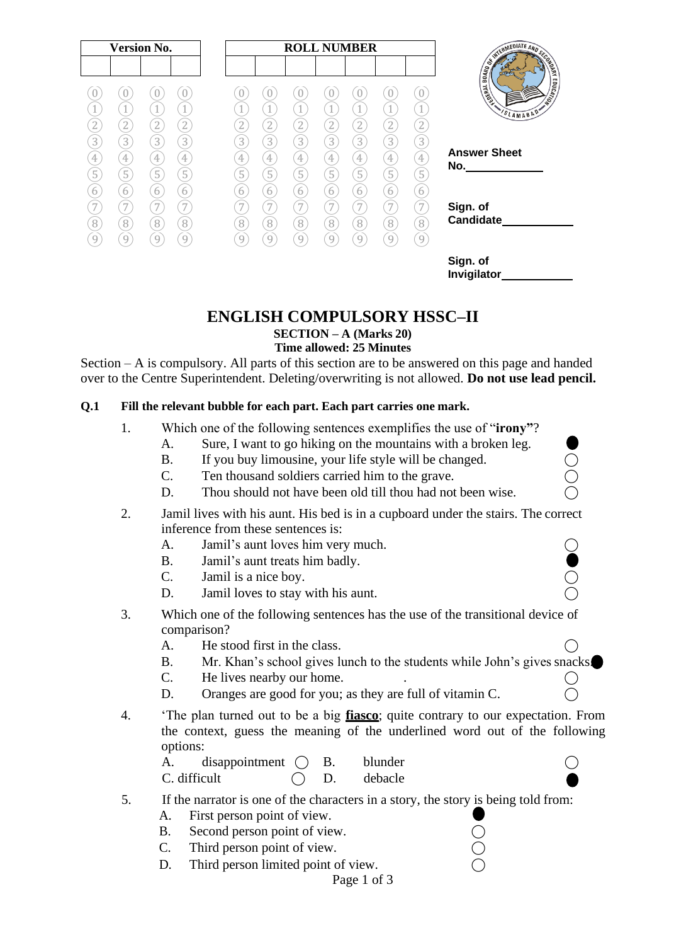

# **ENGLISH COMPULSORY HSSC–II**

**SECTION – A (Marks 20)**

## **Time allowed: 25 Minutes**

Section – A is compulsory. All parts of this section are to be answered on this page and handed over to the Centre Superintendent. Deleting/overwriting is not allowed. **Do not use lead pencil.**

## **Q.1 Fill the relevant bubble for each part. Each part carries one mark.**

- 1. Which one of the following sentences exemplifies the use of "**irony"**?
	- A. Sure, I want to go hiking on the mountains with a broken leg.
	- B. If you buy limousine, your life style will be changed.
	- C. Ten thousand soldiers carried him to the grave.
	- D. Thou should not have been old till thou had not been wise.
- 2. Jamil lives with his aunt. His bed is in a cupboard under the stairs. The correct inference from these sentences is:
	- A. Jamil's aunt loves him very much.
	- B. Jamil's aunt treats him badly.
	- C. Jamil is a nice boy.
	- D. Jamil loves to stay with his aunt.
- 3. Which one of the following sentences has the use of the transitional device of comparison?
	- A. He stood first in the class.
	- B. Mr. Khan's school gives lunch to the students while John's gives snacks.
	- $C.$  He lives nearby our home.  $\bigcirc$
	- D. Oranges are good for you; as they are full of vitamin C.  $\bigcirc$
- 4. 'The plan turned out to be a big **fiasco**; quite contrary to our expectation. From the context, guess the meaning of the underlined word out of the following options:

A. disappointment  $\bigcirc$  B. blunder  $\bigcirc$  $C.$  difficult  $C.$  D. debacle

- 5. If the narrator is one of the characters in a story, the story is being told from:
	- A. First person point of view.
	- B. Second person point of view.
	- C. Third person point of view.
	- D. Third person limited point of view.
		- Page 1 of 3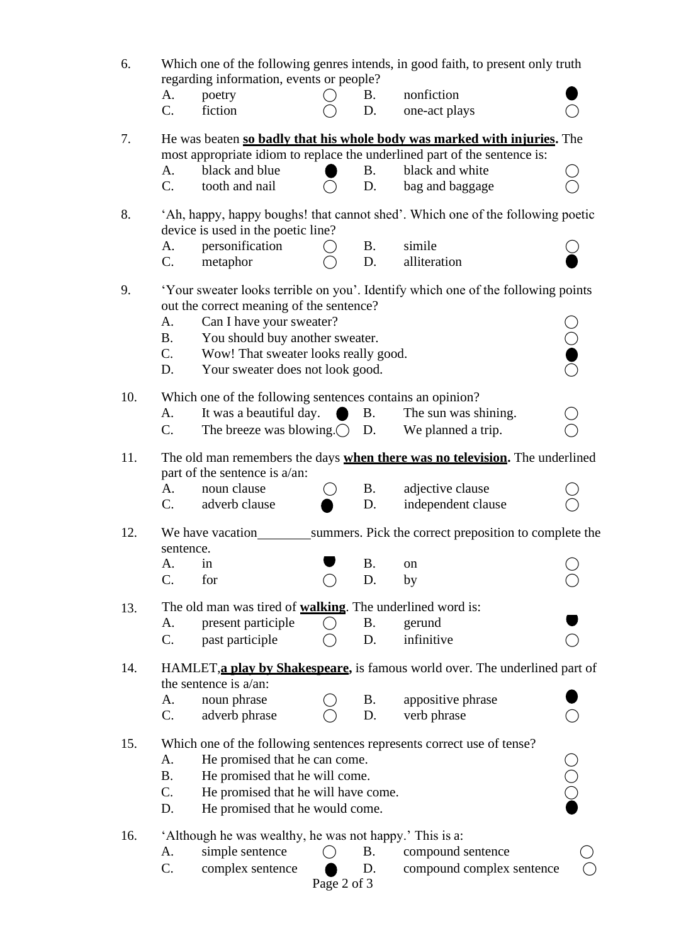| 6.  | Which one of the following genres intends, in good faith, to present only truth<br>regarding information, events or people?                           |                                |            |                                                                       |                    |  |  |  |
|-----|-------------------------------------------------------------------------------------------------------------------------------------------------------|--------------------------------|------------|-----------------------------------------------------------------------|--------------------|--|--|--|
|     | A.<br>poetry                                                                                                                                          |                                | <b>B.</b>  | nonfiction                                                            |                    |  |  |  |
|     | fiction<br>C.                                                                                                                                         |                                | D.         | one-act plays                                                         |                    |  |  |  |
| 7.  | He was beaten so badly that his whole body was marked with injuries. The<br>most appropriate idiom to replace the underlined part of the sentence is: |                                |            |                                                                       |                    |  |  |  |
|     | black and blue<br>A.                                                                                                                                  |                                | <b>B</b> . | black and white                                                       |                    |  |  |  |
|     | tooth and nail<br>$C_{\cdot}$                                                                                                                         |                                | D.         | bag and baggage                                                       |                    |  |  |  |
|     |                                                                                                                                                       |                                |            |                                                                       |                    |  |  |  |
| 8.  | 'Ah, happy, happy boughs! that cannot shed'. Which one of the following poetic<br>device is used in the poetic line?                                  |                                |            |                                                                       |                    |  |  |  |
|     | personification<br>А.                                                                                                                                 | $\bigcirc$                     | <b>B.</b>  | simile                                                                |                    |  |  |  |
|     | metaphor<br>$\mathbf{C}$ .                                                                                                                            |                                | D.         | alliteration                                                          |                    |  |  |  |
| 9.  | 'Your sweater looks terrible on you'. Identify which one of the following points<br>out the correct meaning of the sentence?                          |                                |            |                                                                       |                    |  |  |  |
|     | A.                                                                                                                                                    | Can I have your sweater?       |            |                                                                       |                    |  |  |  |
|     | You should buy another sweater.<br><b>B.</b>                                                                                                          |                                |            |                                                                       | $\rm \ddot{\odot}$ |  |  |  |
|     | Wow! That sweater looks really good.<br>$C_{\cdot}$                                                                                                   |                                |            |                                                                       |                    |  |  |  |
|     | Your sweater does not look good.<br>D.                                                                                                                |                                |            |                                                                       |                    |  |  |  |
| 10. | Which one of the following sentences contains an opinion?                                                                                             |                                |            |                                                                       |                    |  |  |  |
|     | It was a beautiful day.<br>A.                                                                                                                         | $\bullet$                      | <b>B.</b>  | The sun was shining.                                                  |                    |  |  |  |
|     | The breeze was blowing. $\bigcirc$ D.<br>C.                                                                                                           |                                |            | We planned a trip.                                                    |                    |  |  |  |
| 11. | The old man remembers the days when there was no television. The underlined<br>part of the sentence is a/an:                                          |                                |            |                                                                       |                    |  |  |  |
|     | noun clause<br>A.                                                                                                                                     |                                | <b>B.</b>  | adjective clause                                                      |                    |  |  |  |
|     | $C_{\cdot}$<br>adverb clause                                                                                                                          |                                | D.         | independent clause                                                    |                    |  |  |  |
| 12. | We have vacation<br>sentence.                                                                                                                         |                                |            | summers. Pick the correct preposition to complete the                 |                    |  |  |  |
|     | A.<br>in                                                                                                                                              |                                | <b>B.</b>  | on                                                                    |                    |  |  |  |
|     | C.<br>for                                                                                                                                             |                                | D.         | by                                                                    |                    |  |  |  |
| 13. | The old man was tired of <b>walking</b> . The underlined word is:                                                                                     |                                |            |                                                                       |                    |  |  |  |
|     | present participle<br>А.                                                                                                                              | $\rightarrow$                  | <b>B.</b>  | gerund                                                                |                    |  |  |  |
|     | C.<br>past participle                                                                                                                                 |                                | D.         | infinitive                                                            |                    |  |  |  |
| 14. | HAMLET, a play by Shakespeare, is famous world over. The underlined part of<br>the sentence is a/an:                                                  |                                |            |                                                                       |                    |  |  |  |
|     | noun phrase<br>А.                                                                                                                                     |                                | <b>B.</b>  | appositive phrase                                                     |                    |  |  |  |
|     | C.<br>adverb phrase                                                                                                                                   |                                | D.         | verb phrase                                                           |                    |  |  |  |
| 15. |                                                                                                                                                       |                                |            | Which one of the following sentences represents correct use of tense? |                    |  |  |  |
|     | He promised that he can come.<br>A.                                                                                                                   |                                |            |                                                                       |                    |  |  |  |
|     | <b>B.</b>                                                                                                                                             | He promised that he will come. |            |                                                                       |                    |  |  |  |
|     | C.<br>He promised that he will have come.                                                                                                             |                                |            |                                                                       |                    |  |  |  |
|     | He promised that he would come.<br>D.                                                                                                                 |                                |            |                                                                       | $\bigcirc$         |  |  |  |
| 16. | 'Although he was wealthy, he was not happy.' This is a:                                                                                               |                                |            |                                                                       |                    |  |  |  |
|     | simple sentence<br>А.                                                                                                                                 |                                | <b>B.</b>  | compound sentence                                                     |                    |  |  |  |
|     | C.<br>complex sentence                                                                                                                                |                                | D.         | compound complex sentence                                             |                    |  |  |  |
|     |                                                                                                                                                       | Page 2 of 3                    |            |                                                                       |                    |  |  |  |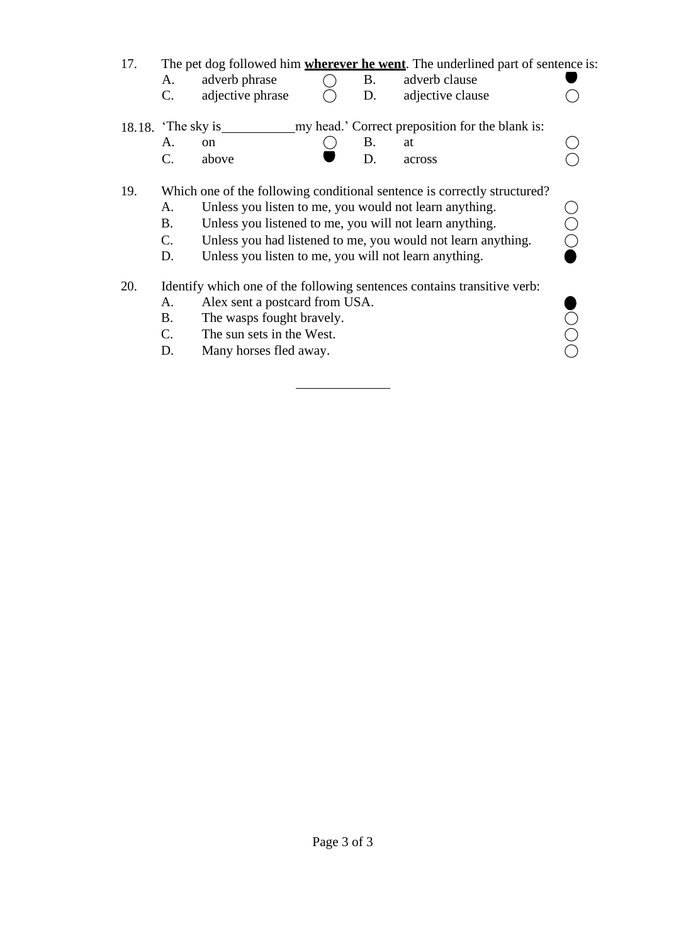| 17. | А.<br>$\mathcal{C}$ .                                                        | adverb phrase<br>adjective phrase                                                                                                                                                                                                                                                                                      |  | <b>B.</b><br>D. | The pet dog followed him <b>wherever he went</b> . The underlined part of sentence is:<br>adverb clause<br>adjective clause |  |
|-----|------------------------------------------------------------------------------|------------------------------------------------------------------------------------------------------------------------------------------------------------------------------------------------------------------------------------------------------------------------------------------------------------------------|--|-----------------|-----------------------------------------------------------------------------------------------------------------------------|--|
|     | my head.' Correct preposition for the blank is:<br>18.18. $\cdot$ The sky is |                                                                                                                                                                                                                                                                                                                        |  |                 |                                                                                                                             |  |
|     | A.                                                                           | <sub>on</sub>                                                                                                                                                                                                                                                                                                          |  | <b>B.</b>       | at                                                                                                                          |  |
|     | $\mathcal{C}$ .                                                              | above                                                                                                                                                                                                                                                                                                                  |  | D.              | across                                                                                                                      |  |
| 19. | A.<br><b>B.</b><br>$\mathbf{C}$ .<br>D.                                      | Which one of the following conditional sentence is correctly structured?<br>Unless you listen to me, you would not learn anything.<br>Unless you listened to me, you will not learn anything.<br>Unless you had listened to me, you would not learn anything.<br>Unless you listen to me, you will not learn anything. |  |                 |                                                                                                                             |  |
| 20. | A.<br>В.<br>C.<br>D.                                                         | Alex sent a postcard from USA.<br>The wasps fought bravely.<br>The sun sets in the West.<br>Many horses fled away.                                                                                                                                                                                                     |  |                 | Identify which one of the following sentences contains transitive verb:                                                     |  |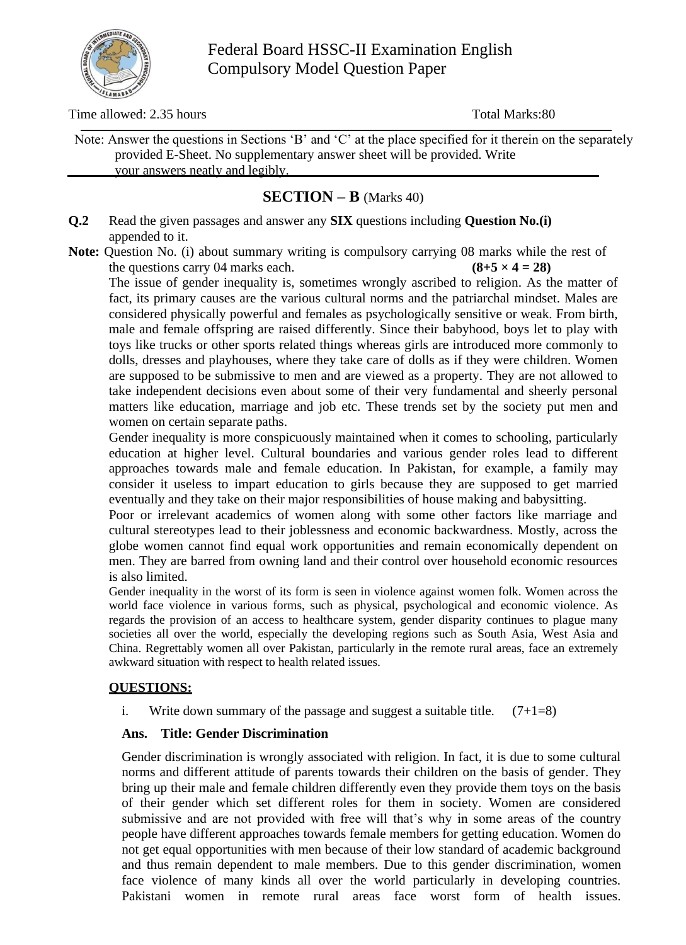

Federal Board HSSC-II Examination English Compulsory Model Question Paper

Time allowed: 2.35 hours Total Marks: 80

Note: Answer the questions in Sections 'B' and 'C' at the place specified for it therein on the separately provided E-Sheet. No supplementary answer sheet will be provided. Write your answers neatly and legibly.

# **SECTION – B** (Marks 40)

**Q.2** Read the given passages and answer any **SIX** questions including **Question No.(i)** appended to it.

Note: Question No. (i) about summary writing is compulsory carrying 08 marks while the rest of the questions carry 04 marks each.  $(8+5 \times 4 = 28)$ 

The issue of gender inequality is, sometimes wrongly ascribed to religion. As the matter of fact, its primary causes are the various cultural norms and the patriarchal mindset. Males are considered physically powerful and females as psychologically sensitive or weak. From birth, male and female offspring are raised differently. Since their babyhood, boys let to play with toys like trucks or other sports related things whereas girls are introduced more commonly to dolls, dresses and playhouses, where they take care of dolls as if they were children. Women are supposed to be submissive to men and are viewed as a property. They are not allowed to take independent decisions even about some of their very fundamental and sheerly personal matters like education, marriage and job etc. These trends set by the society put men and women on certain separate paths.

Gender inequality is more conspicuously maintained when it comes to schooling, particularly education at higher level. Cultural boundaries and various gender roles lead to different approaches towards male and female education. In Pakistan, for example, a family may consider it useless to impart education to girls because they are supposed to get married eventually and they take on their major responsibilities of house making and babysitting.

Poor or irrelevant academics of women along with some other factors like marriage and cultural stereotypes lead to their joblessness and economic backwardness. Mostly, across the globe women cannot find equal work opportunities and remain economically dependent on men. They are barred from owning land and their control over household economic resources is also limited.

Gender inequality in the worst of its form is seen in violence against women folk. Women across the world face violence in various forms, such as physical, psychological and economic violence. As regards the provision of an access to healthcare system, gender disparity continues to plague many societies all over the world, especially the developing regions such as South Asia, West Asia and China. Regrettably women all over Pakistan, particularly in the remote rural areas, face an extremely awkward situation with respect to health related issues.

## **QUESTIONS:**

i. Write down summary of the passage and suggest a suitable title.  $(7+1=8)$ 

## **Ans. Title: Gender Discrimination**

Gender discrimination is wrongly associated with religion. In fact, it is due to some cultural norms and different attitude of parents towards their children on the basis of gender. They bring up their male and female children differently even they provide them toys on the basis of their gender which set different roles for them in society. Women are considered submissive and are not provided with free will that's why in some areas of the country people have different approaches towards female members for getting education. Women do not get equal opportunities with men because of their low standard of academic background and thus remain dependent to male members. Due to this gender discrimination, women face violence of many kinds all over the world particularly in developing countries. Pakistani women in remote rural areas face worst form of health issues.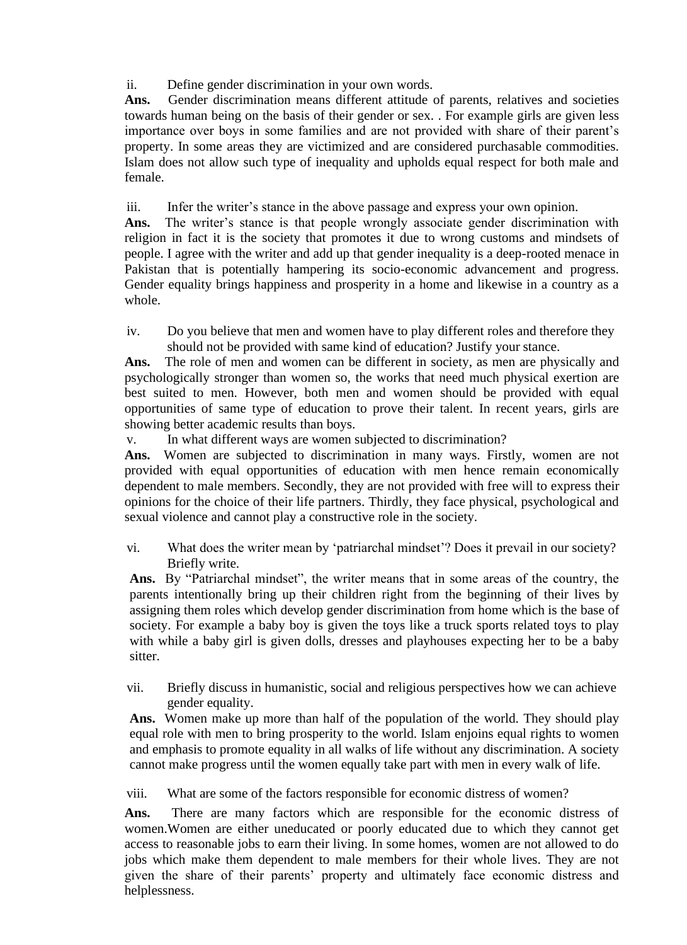ii. Define gender discrimination in your own words.

Ans. Gender discrimination means different attitude of parents, relatives and societies towards human being on the basis of their gender or sex. . For example girls are given less importance over boys in some families and are not provided with share of their parent's property. In some areas they are victimized and are considered purchasable commodities. Islam does not allow such type of inequality and upholds equal respect for both male and female.

iii. Infer the writer's stance in the above passage and express your own opinion.

**Ans.** The writer's stance is that people wrongly associate gender discrimination with religion in fact it is the society that promotes it due to wrong customs and mindsets of people. I agree with the writer and add up that gender inequality is a deep-rooted menace in Pakistan that is potentially hampering its socio-economic advancement and progress. Gender equality brings happiness and prosperity in a home and likewise in a country as a whole.

iv. Do you believe that men and women have to play different roles and therefore they should not be provided with same kind of education? Justify your stance.

**Ans.** The role of men and women can be different in society, as men are physically and psychologically stronger than women so, the works that need much physical exertion are best suited to men. However, both men and women should be provided with equal opportunities of same type of education to prove their talent. In recent years, girls are showing better academic results than boys.

v. In what different ways are women subjected to discrimination?

**Ans.** Women are subjected to discrimination in many ways. Firstly, women are not provided with equal opportunities of education with men hence remain economically dependent to male members. Secondly, they are not provided with free will to express their opinions for the choice of their life partners. Thirdly, they face physical, psychological and sexual violence and cannot play a constructive role in the society.

vi. What does the writer mean by 'patriarchal mindset'? Does it prevail in our society? Briefly write.

**Ans.** By "Patriarchal mindset", the writer means that in some areas of the country, the parents intentionally bring up their children right from the beginning of their lives by assigning them roles which develop gender discrimination from home which is the base of society. For example a baby boy is given the toys like a truck sports related toys to play with while a baby girl is given dolls, dresses and playhouses expecting her to be a baby sitter.

vii. Briefly discuss in humanistic, social and religious perspectives how we can achieve gender equality.

**Ans.** Women make up more than half of the population of the world. They should play equal role with men to bring prosperity to the world. Islam enjoins equal rights to women and emphasis to promote equality in all walks of life without any discrimination. A society cannot make progress until the women equally take part with men in every walk of life.

viii. What are some of the factors responsible for economic distress of women?

**Ans.** There are many factors which are responsible for the economic distress of women.Women are either uneducated or poorly educated due to which they cannot get access to reasonable jobs to earn their living. In some homes, women are not allowed to do jobs which make them dependent to male members for their whole lives. They are not given the share of their parents' property and ultimately face economic distress and helplessness.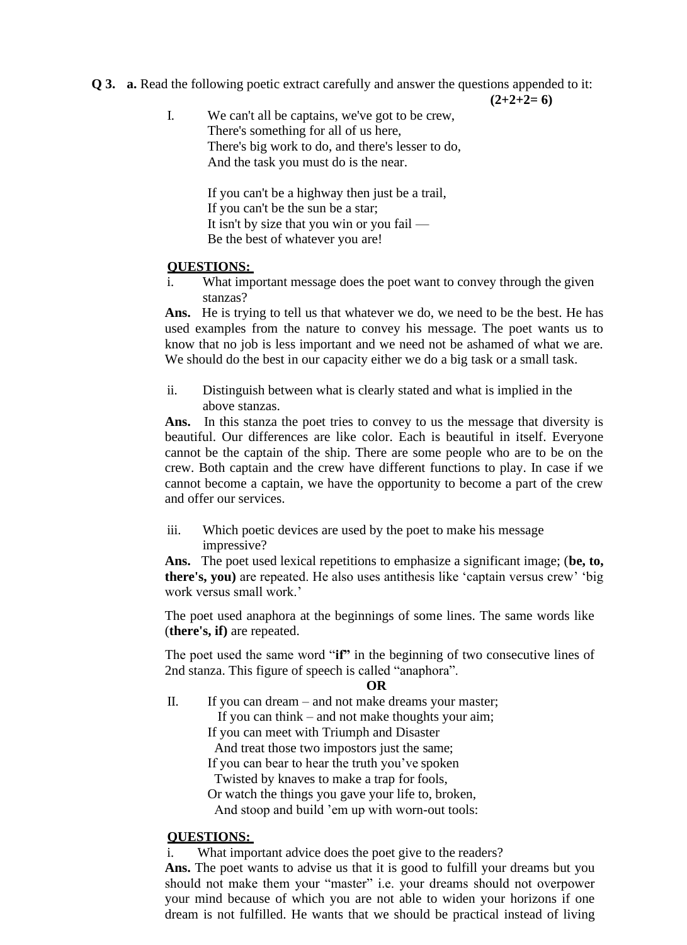**Q 3. a.** Read the following poetic extract carefully and answer the questions appended to it:

 $(2+2+2=6)$ 

I. We can't all be captains, we've got to be crew, There's something for all of us here, There's big work to do, and there's lesser to do, And the task you must do is the near.

> If you can't be a highway then just be a trail, If you can't be the sun be a star; It isn't by size that you win or you fail — Be the best of whatever you are!

## **QUESTIONS:**

i. What important message does the poet want to convey through the given stanzas?

**Ans.** He is trying to tell us that whatever we do, we need to be the best. He has used examples from the nature to convey his message. The poet wants us to know that no job is less important and we need not be ashamed of what we are. We should do the best in our capacity either we do a big task or a small task.

ii. Distinguish between what is clearly stated and what is implied in the above stanzas.

Ans. In this stanza the poet tries to convey to us the message that diversity is beautiful. Our differences are like color. Each is beautiful in itself. Everyone cannot be the captain of the ship. There are some people who are to be on the crew. Both captain and the crew have different functions to play. In case if we cannot become a captain, we have the opportunity to become a part of the crew and offer our services.

iii. Which poetic devices are used by the poet to make his message impressive?

**Ans.** The poet used lexical repetitions to emphasize a significant image; (**be, to, there's, you)** are repeated. He also uses antithesis like 'captain versus crew' 'big work versus small work.'

The poet used anaphora at the beginnings of some lines. The same words like (**there's, if)** are repeated.

The poet used the same word "**if"** in the beginning of two consecutive lines of 2nd stanza. This figure of speech is called "anaphora".

#### **OR**

II. If you can dream – and not make dreams your master; If you can think – and not make thoughts your aim; If you can meet with Triumph and Disaster And treat those two impostors just the same;

If you can bear to hear the truth you've spoken

Twisted by knaves to make a trap for fools,

Or watch the things you gave your life to, broken,

And stoop and build 'em up with worn-out tools:

## **QUESTIONS:**

What important advice does the poet give to the readers?

Ans. The poet wants to advise us that it is good to fulfill your dreams but you should not make them your "master" i.e. your dreams should not overpower your mind because of which you are not able to widen your horizons if one dream is not fulfilled. He wants that we should be practical instead of living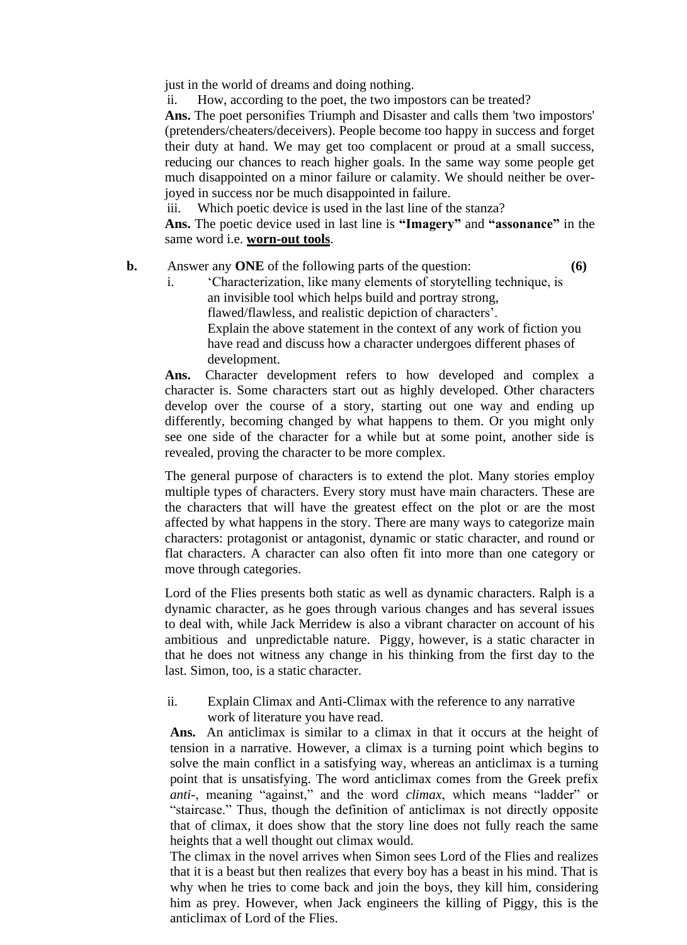just in the world of dreams and doing nothing.

ii. How, according to the poet, the two impostors can be treated?

**Ans.** The poet personifies Triumph and Disaster and calls them 'two impostors' (pretenders/cheaters/deceivers). People become too happy in success and forget their duty at hand. We may get too complacent or proud at a small success, reducing our chances to reach higher goals. In the same way some people get much disappointed on a minor failure or calamity. We should neither be overjoyed in success nor be much disappointed in failure.

iii. Which poetic device is used in the last line of the stanza?

**Ans.** The poetic device used in last line is **"Imagery"** and **"assonance"** in the same word i.e. **worn-out tools**.

### **b.** Answer any **ONE** of the following parts of the question: **(6)**

i. 'Characterization, like many elements of storytelling technique, is an invisible tool which helps build and portray strong, flawed/flawless, and realistic depiction of characters'. Explain the above statement in the context of any work of fiction you have read and discuss how a character undergoes different phases of development.

**Ans.** Character development refers to how developed and complex a character is. Some characters start out as highly developed. Other characters develop over the course of a story, starting out one way and ending up differently, becoming changed by what happens to them. Or you might only see one side of the character for a while but at some point, another side is revealed, proving the character to be more complex.

The general purpose of characters is to extend the plot. Many stories employ multiple types of characters. Every story must have main characters. These are the characters that will have the greatest effect on the plot or are the most affected by what happens in the story. There are many ways to categorize main characters: protagonist or antagonist, dynamic or static character, and round or flat characters. A character can also often fit into more than one category or move through categories.

Lord of the Flies presents both static as well as dynamic characters. Ralph is a [dynamic character,](https://literarydevices.net/dynamic-character/) as he goes through various changes and has several issues to deal with, while Jack Merridew is also a vibrant [character o](https://literarydevices.net/character/)n account of his ambitious and unpredictable nature. Piggy, however, is a [static character i](https://literarydevices.net/static-character/)n that he does not witness any change in his thinking from the first day to the last. Simon, too, is a static character.

### ii. Explain Climax and Anti-Climax with the reference to any narrative work of literature you have read.

**Ans.** An anticlimax is similar to a [climax i](https://literarydevices.com/climax/)n that it occurs at the height of tension in a narrative. However, a climax is a turning point which begins to solve the main [conflict i](https://literarydevices.com/conflict/)n a satisfying way, whereas an anticlimax is a turning point that is unsatisfying. The word anticlimax comes from the Greek prefix *anti-*, meaning "against," and the word *climax*, which means "ladder" or "staircase." Thus, though the definition of anticlimax is not directly opposite that of climax, it does show that the story line does not fully reach the same heights that a well thought out climax would.

The [climax i](https://literarydevices.net/climax/)n the novel arrives when Simon sees Lord of the Flies and realizes that it is a beast but then realizes that every boy has a beast in his mind. That is why when he tries to come back and join the boys, they kill him, considering him as prey. However, when Jack engineers the killing of Piggy, this is the anticlimax of Lord of the Flies.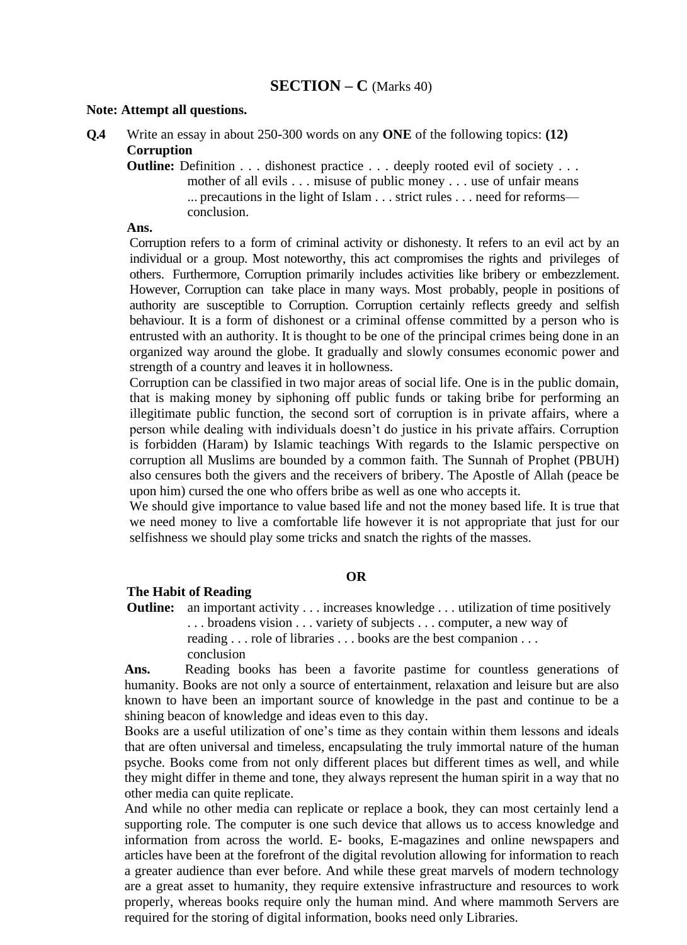#### **Note: Attempt all questions.**

- **Q.4** Write an essay in about 250-300 words on any **ONE** of the following topics: **(12) Corruption**
	- **Outline:** Definition . . . dishonest practice . . . deeply rooted evil of society . . . mother of all evils . . . misuse of public money . . . use of unfair means ... precautions in the light of Islam . . . strict rules . . . need for reforms conclusion.

#### **Ans.**

Corruption refers to a form of criminal activity or dishonesty. It refers to an evil act by an individual or a group. Most noteworthy, this act compromises the rights and privileges of others. Furthermore, Corruption primarily includes activities like bribery or embezzlement. However, [Corruption c](https://www.toppr.com/guides/political-science/challenges-to-democracy/what-are-the-challenges-of-democracy/)an take place in many ways. Most probably, people in positions of authority are susceptible to Corruption. Corruption certainly reflects greedy and selfish behaviour. It is a form of dishonest or a criminal offense committed by a person who is entrusted with an authority. It is thought to be one of the principal crimes being done in an organized way around the globe. It gradually and slowly consumes economic power and strength of a country and leaves it in hollowness.

Corruption can be classified in two major areas of social life. One is in the public domain, that is making money by siphoning off public funds or taking bribe for performing an illegitimate public function, the second sort of corruption is in private affairs, where a person while dealing with individuals doesn't do justice in his private affairs. Corruption is forbidden (Haram) by Islamic teachings With regards to the Islamic perspective on corruption all Muslims are bounded by a common faith. The Sunnah of Prophet (PBUH) also censures both the givers and the receivers of bribery. The Apostle of Allah (peace be upon him) cursed the one who offers bribe as well as one who accepts it.

We should give importance to value based life and not the money based life. It is true that we need money to live a comfortable life however it is not appropriate that just for our selfishness we should play some tricks and snatch the rights of the masses.

#### **OR**

#### **The Habit of Reading**

**Outline:** an important activity . . . increases knowledge . . . utilization of time positively . . . broadens vision . . . variety of subjects . . . computer, a new way of reading . . . role of libraries . . . books are the best companion . . . conclusion

Ans. Reading books has been a favorite pastime for countless generations of humanity. Books are not only a source of entertainment, relaxation and leisure but are also known to have been an important source of knowledge in the past and continue to be a shining beacon of knowledge and ideas even to this day.

Books are a useful utilization of one's time as they contain within them lessons and ideals that are often universal and timeless, encapsulating the truly immortal nature of the human psyche. Books come from not only different places but different times as well, and while they might differ in theme and tone, they always represent the human spirit in a way that no other media can quite replicate.

And while no other media can replicate or replace a book, they can most certainly lend a supporting role. The computer is one such device that allows us to access knowledge and information from across the world. E- books, E-magazines and online newspapers and articles have been at the forefront of the digital revolution allowing for information to reach a greater audience than ever before. And while these great marvels of modern technology are a great asset to humanity, they require extensive infrastructure and resources to work properly, whereas books require only the human mind. And where mammoth Servers are required for the storing of digital information, books need only Libraries.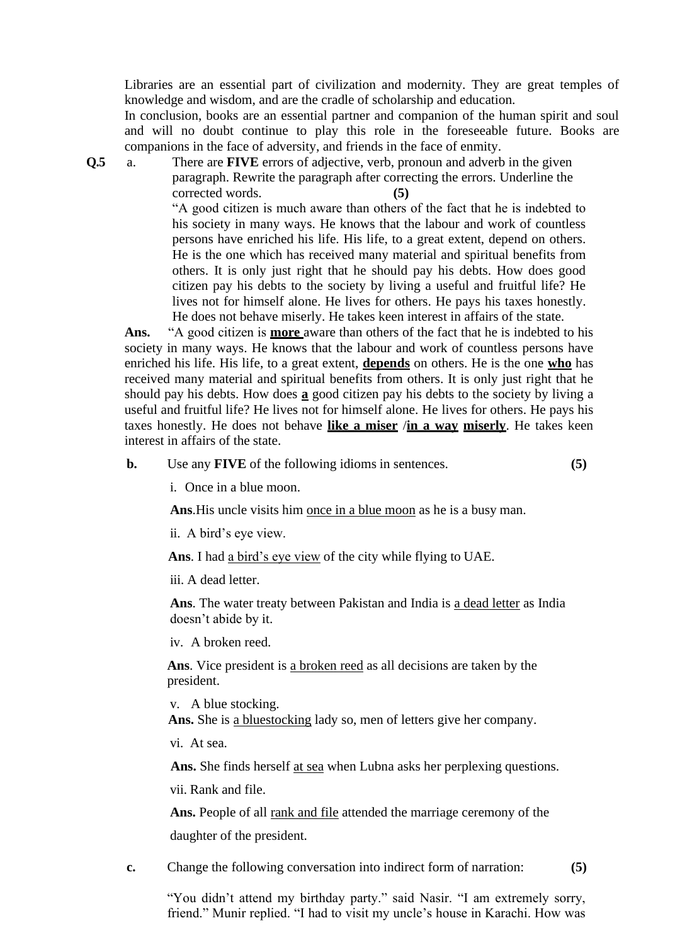Libraries are an essential part of civilization and modernity. They are great temples of knowledge and wisdom, and are the cradle of scholarship and education.

In conclusion, books are an essential partner and companion of the human spirit and soul and will no doubt continue to play this role in the foreseeable future. Books are companions in the face of adversity, and friends in the face of enmity.

**Q.5** a. There are **FIVE** errors of adjective, verb, pronoun and adverb in the given paragraph. Rewrite the paragraph after correcting the errors. Underline the corrected words. **(5)**

> "A good citizen is much aware than others of the fact that he is indebted to his society in many ways. He knows that the labour and work of countless persons have enriched his life. His life, to a great extent, depend on others. He is the one which has received many material and spiritual benefits from others. It is only just right that he should pay his debts. How does good citizen pay his debts to the society by living a useful and fruitful life? He lives not for himself alone. He lives for others. He pays his taxes honestly. He does not behave miserly. He takes keen interest in affairs of the state.

**Ans.** "A good citizen is **more** aware than others of the fact that he is indebted to his society in many ways. He knows that the labour and work of countless persons have enriched his life. His life, to a great extent, **depends** on others. He is the one **who** has received many material and spiritual benefits from others. It is only just right that he should pay his debts. How does **a** good citizen pay his debts to the society by living a useful and fruitful life? He lives not for himself alone. He lives for others. He pays his taxes honestly. He does not behave **like a miser** /**in a way miserly**. He takes keen interest in affairs of the state.

**b.** Use any **FIVE** of the following idioms in sentences. **(5)**

i. Once in a blue moon.

**Ans**.His uncle visits him once in a blue moon as he is a busy man.

ii. A bird's eye view.

**Ans**. I had a bird's eye view of the city while flying to UAE.

iii. A dead letter.

**Ans**. The water treaty between Pakistan and India is a dead letter as India doesn't abide by it.

iv. A broken reed.

**Ans**. Vice president is a broken reed as all decisions are taken by the president.

v. A blue stocking.

 **Ans.** She is a bluestocking lady so, men of letters give her company.

vi. At sea.

Ans. She finds herself at sea when Lubna asks her perplexing questions.

vii. Rank and file.

Ans. People of all rank and file attended the marriage ceremony of the daughter of the president.

**c.** Change the following conversation into indirect form of narration: **(5)**

"You didn't attend my birthday party." said Nasir. "I am extremely sorry, friend." Munir replied. "I had to visit my uncle's house in Karachi. How was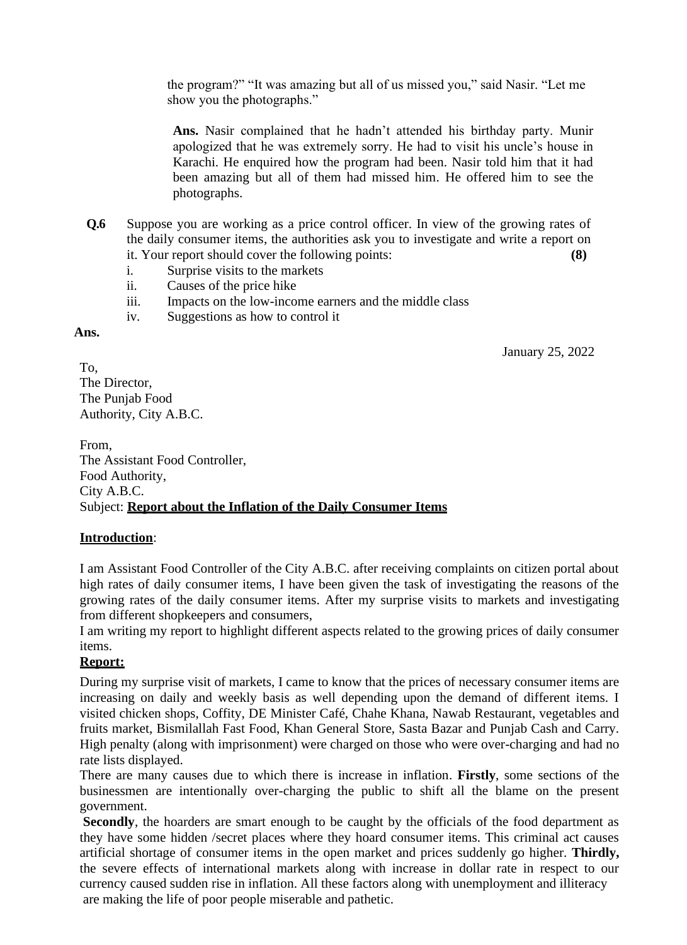the program?" "It was amazing but all of us missed you," said Nasir. "Let me show you the photographs."

**Ans.** Nasir complained that he hadn't attended his birthday party. Munir apologized that he was extremely sorry. He had to visit his uncle's house in Karachi. He enquired how the program had been. Nasir told him that it had been amazing but all of them had missed him. He offered him to see the photographs.

- **Q.6** Suppose you are working as a price control officer. In view of the growing rates of the daily consumer items, the authorities ask you to investigate and write a report on it. Your report should cover the following points: **(8)**
	- i. Surprise visits to the markets
	- ii. Causes of the price hike
	- iii. Impacts on the low-income earners and the middle class
	- iv. Suggestions as how to control it

#### **Ans.**

January 25, 2022

To, The Director, The Punjab Food Authority, City A.B.C.

From, The Assistant Food Controller, Food Authority, City A.B.C. Subject: **Report about the Inflation of the Daily Consumer Items**

### **Introduction**:

I am Assistant Food Controller of the City A.B.C. after receiving complaints on citizen portal about high rates of daily consumer items, I have been given the task of investigating the reasons of the growing rates of the daily consumer items. After my surprise visits to markets and investigating from different shopkeepers and consumers,

I am writing my report to highlight different aspects related to the growing prices of daily consumer items.

### **Report:**

During my surprise visit of markets, I came to know that the prices of necessary consumer items are increasing on daily and weekly basis as well depending upon the demand of different items. I visited chicken shops, Coffity, DE Minister Café, Chahe Khana, Nawab Restaurant, vegetables and fruits market, Bismilallah Fast Food, Khan General Store, Sasta Bazar and Punjab Cash and Carry. High penalty (along with imprisonment) were charged on those who were over-charging and had no rate lists displayed.

There are many causes due to which there is increase in inflation. **Firstly**, some sections of the businessmen are intentionally over-charging the public to shift all the blame on the present government.

**Secondly**, the hoarders are smart enough to be caught by the officials of the food department as they have some hidden /secret places where they hoard consumer items. This criminal act causes artificial shortage of consumer items in the open market and prices suddenly go higher. **Thirdly,**  the severe effects of international markets along with increase in dollar rate in respect to our currency caused sudden rise in inflation. All these factors along with unemployment and illiteracy are making the life of poor people miserable and pathetic.